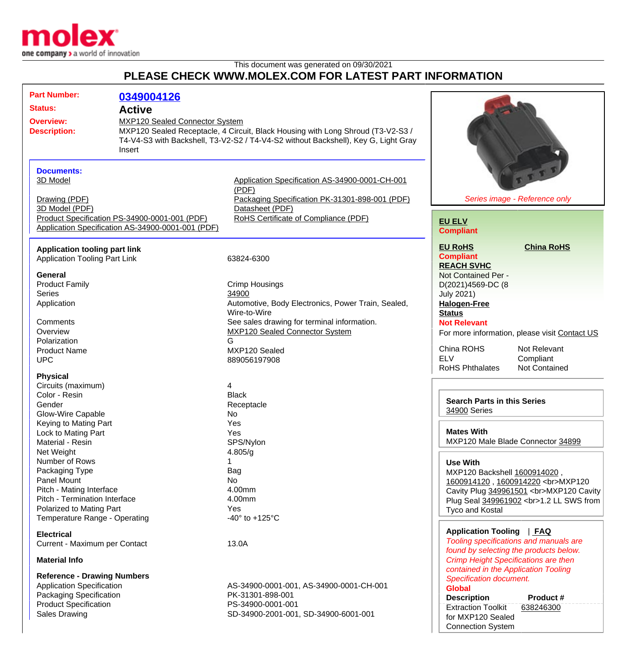

This document was generated on 09/30/2021

## **PLEASE CHECK WWW.MOLEX.COM FOR LATEST PART INFORMATION**

| <b>Part Number:</b><br><b>Status:</b><br><b>Overview:</b><br><b>Description:</b> |                                                                                                                                                                           | 0349004126<br><b>Active</b><br><b>MXP120 Sealed Connector System</b><br>MXP120 Sealed Receptacle, 4 Circuit, Black Housing with Long Shroud (T3-V2-S3 /<br>T4-V4-S3 with Backshell, T3-V2-S2 / T4-V4-S2 without Backshell), Key G, Light Gray<br>Insert |                                                                                                                                                                      |                                                                                                                                                                                                   |
|----------------------------------------------------------------------------------|---------------------------------------------------------------------------------------------------------------------------------------------------------------------------|---------------------------------------------------------------------------------------------------------------------------------------------------------------------------------------------------------------------------------------------------------|----------------------------------------------------------------------------------------------------------------------------------------------------------------------|---------------------------------------------------------------------------------------------------------------------------------------------------------------------------------------------------|
|                                                                                  | <b>Documents:</b><br>3D Model<br>Drawing (PDF)<br>3D Model (PDF)                                                                                                          | Product Specification PS-34900-0001-001 (PDF)<br>Application Specification AS-34900-0001-001 (PDF)                                                                                                                                                      | Application Specification AS-34900-0001-CH-001<br>(PDF)<br>Packaging Specification PK-31301-898-001 (PDF)<br>Datasheet (PDF)<br>RoHS Certificate of Compliance (PDF) | Series image - Reference only<br><b>EU ELV</b><br><b>Compliant</b>                                                                                                                                |
|                                                                                  | <b>Application tooling part link</b><br><b>Application Tooling Part Link</b><br><b>General</b>                                                                            |                                                                                                                                                                                                                                                         | 63824-6300                                                                                                                                                           | <b>China RoHS</b><br><b>EU RoHS</b><br><b>Compliant</b><br><b>REACH SVHC</b><br>Not Contained Per -                                                                                               |
|                                                                                  | <b>Product Family</b><br><b>Series</b><br>Application                                                                                                                     |                                                                                                                                                                                                                                                         | <b>Crimp Housings</b><br>34900<br>Automotive, Body Electronics, Power Train, Sealed,<br>Wire-to-Wire                                                                 | D(2021)4569-DC (8<br><b>July 2021)</b><br><b>Halogen-Free</b><br><b>Status</b>                                                                                                                    |
|                                                                                  | Comments<br>Overview<br>Polarization<br><b>Product Name</b>                                                                                                               |                                                                                                                                                                                                                                                         | See sales drawing for terminal information.<br><b>MXP120 Sealed Connector System</b><br>G<br>MXP120 Sealed                                                           | <b>Not Relevant</b><br>For more information, please visit Contact US<br>China ROHS<br>Not Relevant<br><b>ELV</b>                                                                                  |
|                                                                                  | <b>UPC</b><br><b>Physical</b><br>Circuits (maximum)                                                                                                                       |                                                                                                                                                                                                                                                         | 889056197908<br>4                                                                                                                                                    | Compliant<br><b>RoHS Phthalates</b><br><b>Not Contained</b>                                                                                                                                       |
|                                                                                  | Color - Resin<br>Gender<br><b>Glow-Wire Capable</b><br>Keying to Mating Part                                                                                              |                                                                                                                                                                                                                                                         | <b>Black</b><br>Receptacle<br>No<br>Yes                                                                                                                              | <b>Search Parts in this Series</b><br>34900 Series                                                                                                                                                |
|                                                                                  | Lock to Mating Part<br>Material - Resin<br>Net Weight                                                                                                                     |                                                                                                                                                                                                                                                         | Yes<br>SPS/Nylon<br>4.805/g                                                                                                                                          | <b>Mates With</b><br>MXP120 Male Blade Connector 34899                                                                                                                                            |
|                                                                                  | Number of Rows<br>Packaging Type<br>Panel Mount<br>Pitch - Mating Interface<br>Pitch - Termination Interface<br>Polarized to Mating Part<br>Temperature Range - Operating |                                                                                                                                                                                                                                                         | Bag<br>No<br>4.00mm<br>4.00mm<br>Yes<br>-40 $\degree$ to +125 $\degree$ C                                                                                            | <b>Use With</b><br>MXP120 Backshell 1600914020,<br>1600914120, 1600914220<br>MXP120<br>Cavity Plug 349961501<br>MXP120 Cavity<br>Plug Seal 349961902<br>1.2 LL SWS from<br><b>Tyco and Kostal</b> |
|                                                                                  | <b>Electrical</b><br>Current - Maximum per Contact<br><b>Material Info</b>                                                                                                |                                                                                                                                                                                                                                                         | 13.0A                                                                                                                                                                | Application Tooling   FAQ<br>Tooling specifications and manuals are<br>found by selecting the products below.<br>Crimp Height Specifications are then                                             |
|                                                                                  | <b>Reference - Drawing Numbers</b><br><b>Application Specification</b><br>Packaging Specification<br><b>Product Specification</b>                                         |                                                                                                                                                                                                                                                         | AS-34900-0001-001, AS-34900-0001-CH-001<br>PK-31301-898-001<br>PS-34900-0001-001                                                                                     | contained in the Application Tooling<br>Specification document.<br><b>Global</b><br><b>Description</b><br>Product#<br><b>Extraction Toolkit</b><br>638246300                                      |

Sales Drawing Sales Drawing SD-34900-2001-001, SD-34900-6001-001

for MXP120 Sealed Connection System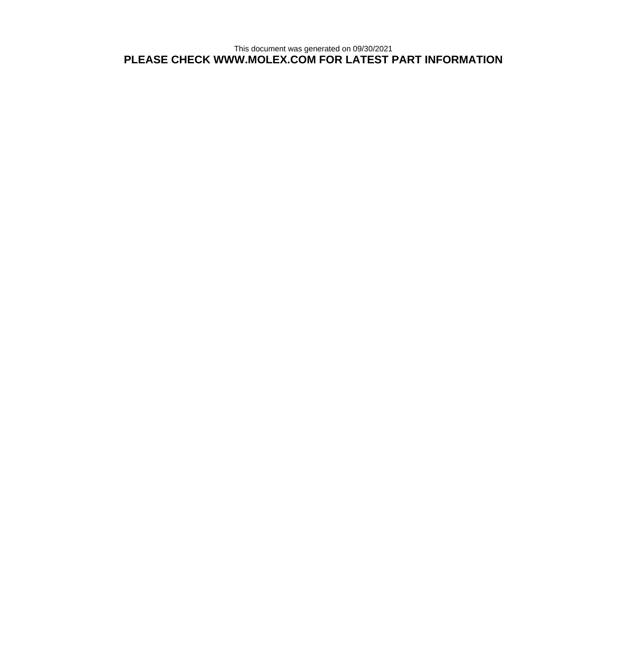This document was generated on 09/30/2021 **PLEASE CHECK WWW.MOLEX.COM FOR LATEST PART INFORMATION**